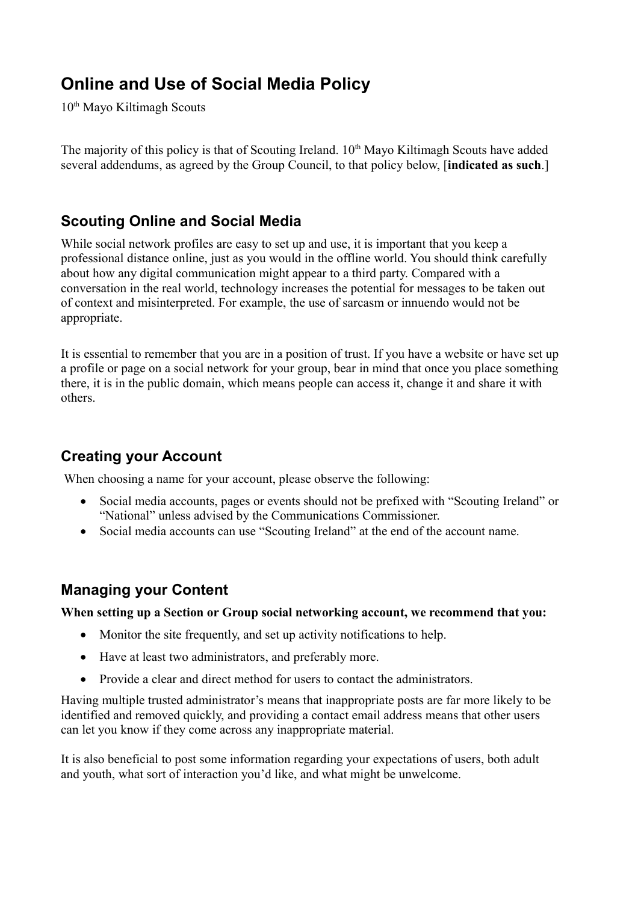# **Online and Use of Social Media Policy**

10<sup>th</sup> Mayo Kiltimagh Scouts

The majority of this policy is that of Scouting Ireland. 10<sup>th</sup> Mayo Kiltimagh Scouts have added several addendums, as agreed by the Group Council, to that policy below, [**indicated as such**.]

#### **Scouting Online and Social Media**

While social network profiles are easy to set up and use, it is important that you keep a professional distance online, just as you would in the offline world. You should think carefully about how any digital communication might appear to a third party. Compared with a conversation in the real world, technology increases the potential for messages to be taken out of context and misinterpreted. For example, the use of sarcasm or innuendo would not be appropriate.

It is essential to remember that you are in a position of trust. If you have a website or have set up a profile or page on a social network for your group, bear in mind that once you place something there, it is in the public domain, which means people can access it, change it and share it with others.

#### **Creating your Account**

When choosing a name for your account, please observe the following:

- Social media accounts, pages or events should not be prefixed with "Scouting Ireland" or "National" unless advised by the Communications Commissioner.
- Social media accounts can use "Scouting Ireland" at the end of the account name.

#### **Managing your Content**

**When setting up a Section or Group social networking account, we recommend that you:**

- Monitor the site frequently, and set up activity notifications to help.
- Have at least two administrators, and preferably more.
- Provide a clear and direct method for users to contact the administrators.

Having multiple trusted administrator's means that inappropriate posts are far more likely to be identified and removed quickly, and providing a contact email address means that other users can let you know if they come across any inappropriate material.

It is also beneficial to post some information regarding your expectations of users, both adult and youth, what sort of interaction you'd like, and what might be unwelcome.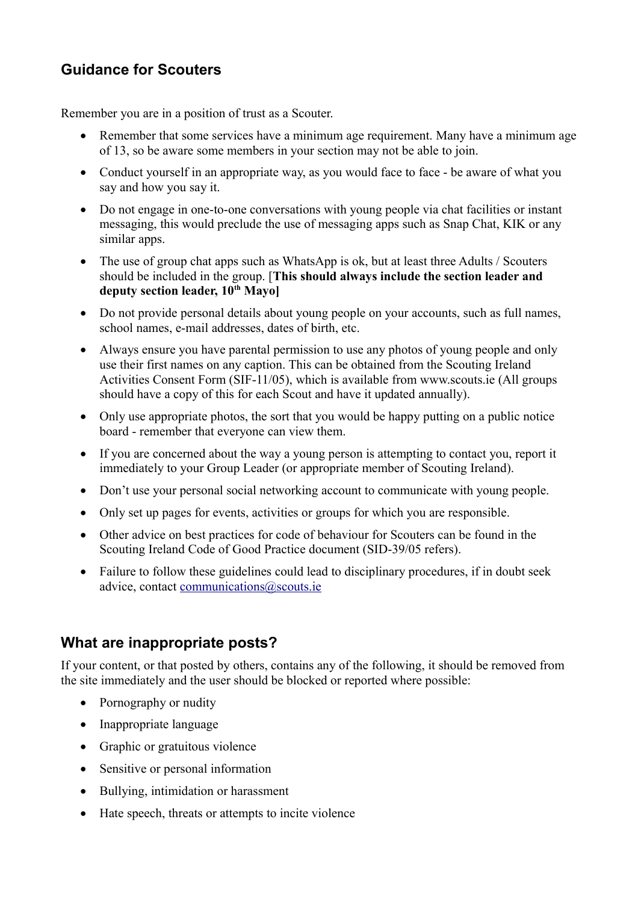### **Guidance for Scouters**

Remember you are in a position of trust as a Scouter.

- Remember that some services have a minimum age requirement. Many have a minimum age of 13, so be aware some members in your section may not be able to join.
- Conduct yourself in an appropriate way, as you would face to face be aware of what you say and how you say it.
- Do not engage in one-to-one conversations with young people via chat facilities or instant messaging, this would preclude the use of messaging apps such as Snap Chat, KIK or any similar apps.
- The use of group chat apps such as WhatsApp is ok, but at least three Adults / Scouters should be included in the group. [**This should always include the section leader and deputy section leader, 10th Mayo]**
- Do not provide personal details about young people on your accounts, such as full names, school names, e-mail addresses, dates of birth, etc.
- Always ensure you have parental permission to use any photos of young people and only use their first names on any caption. This can be obtained from the Scouting Ireland Activities Consent Form (SIF-11/05), which is available from www.scouts.ie (All groups should have a copy of this for each Scout and have it updated annually).
- Only use appropriate photos, the sort that you would be happy putting on a public notice board - remember that everyone can view them.
- If you are concerned about the way a young person is attempting to contact you, report it immediately to your Group Leader (or appropriate member of Scouting Ireland).
- Don't use your personal social networking account to communicate with young people.
- Only set up pages for events, activities or groups for which you are responsible.
- Other advice on best practices for code of behaviour for Scouters can be found in the Scouting Ireland Code of Good Practice document (SID-39/05 refers).
- Failure to follow these guidelines could lead to disciplinary procedures, if in doubt seek advice, contact [communications@scouts.ie](mailto:communications@scouts.ie)

#### **What are inappropriate posts?**

If your content, or that posted by others, contains any of the following, it should be removed from the site immediately and the user should be blocked or reported where possible:

- Pornography or nudity
- Inappropriate language
- Graphic or gratuitous violence
- Sensitive or personal information
- Bullying, intimidation or harassment
- Hate speech, threats or attempts to incite violence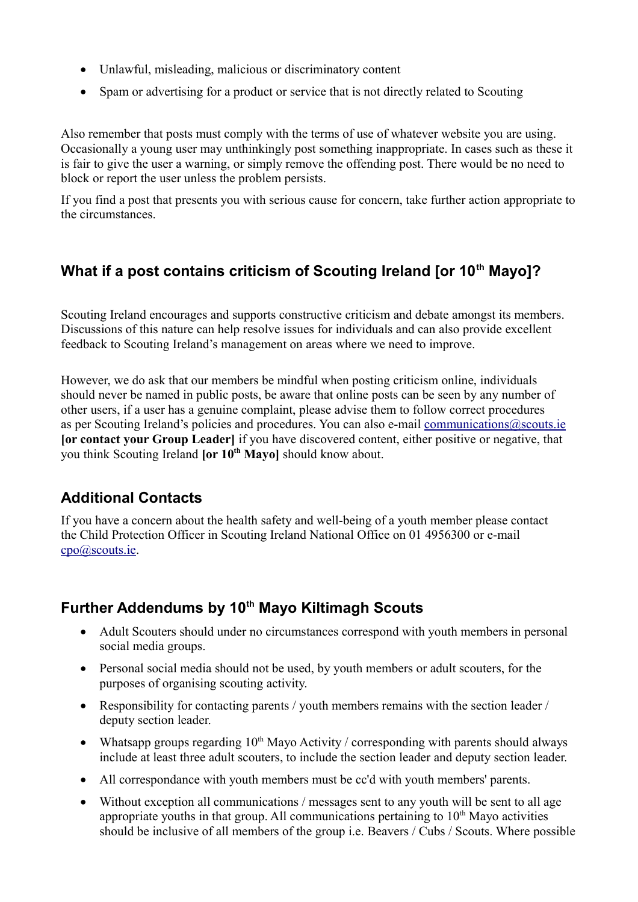- Unlawful, misleading, malicious or discriminatory content
- Spam or advertising for a product or service that is not directly related to Scouting

Also remember that posts must comply with the terms of use of whatever website you are using. Occasionally a young user may unthinkingly post something inappropriate. In cases such as these it is fair to give the user a warning, or simply remove the offending post. There would be no need to block or report the user unless the problem persists.

If you find a post that presents you with serious cause for concern, take further action appropriate to the circumstances.

## **What if a post contains criticism of Scouting Ireland [or 10th Mayo]?**

Scouting Ireland encourages and supports constructive criticism and debate amongst its members. Discussions of this nature can help resolve issues for individuals and can also provide excellent feedback to Scouting Ireland's management on areas where we need to improve.

However, we do ask that our members be mindful when posting criticism online, individuals should never be named in public posts, be aware that online posts can be seen by any number of other users, if a user has a genuine complaint, please advise them to follow correct procedures as per Scouting Ireland's policies and procedures. You can also e-mail [communications@scouts.ie](mailto:communications@scouts.ie) **[or contact your Group Leader]** if you have discovered content, either positive or negative, that you think Scouting Ireland **[or 10th Mayo]** should know about.

## **Additional Contacts**

If you have a concern about the health safety and well-being of a youth member please contact the Child Protection Officer in Scouting Ireland National Office on 01 4956300 or e-mail [cpo@scouts.ie.](mailto:cpo@scouts.ie)

## **Further Addendums by 10th Mayo Kiltimagh Scouts**

- Adult Scouters should under no circumstances correspond with youth members in personal social media groups.
- Personal social media should not be used, by youth members or adult scouters, for the purposes of organising scouting activity.
- Responsibility for contacting parents / youth members remains with the section leader / deputy section leader.
- Whatsapp groups regarding  $10<sup>th</sup>$  Mayo Activity / corresponding with parents should always include at least three adult scouters, to include the section leader and deputy section leader.
- All correspondance with youth members must be cc'd with youth members' parents.
- Without exception all communications / messages sent to any youth will be sent to all age appropriate youths in that group. All communications pertaining to  $10<sup>th</sup>$  Mayo activities should be inclusive of all members of the group i.e. Beavers / Cubs / Scouts. Where possible